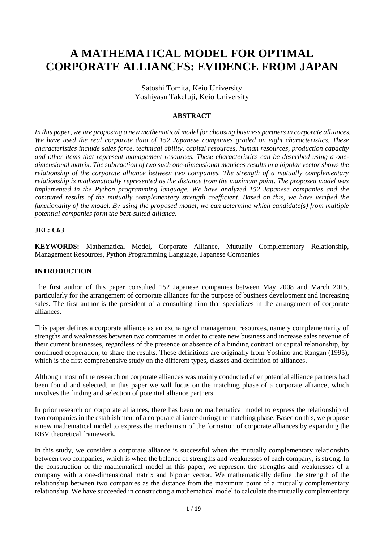# **A MATHEMATICAL MODEL FOR OPTIMAL CORPORATE ALLIANCES: EVIDENCE FROM JAPAN**

Satoshi Tomita, Keio University Yoshiyasu Takefuji, Keio University

## **ABSTRACT**

*In this paper, we are proposing a new mathematical model for choosing business partnersin corporate alliances. We have used the real corporate data of 152 Japanese companies graded on eight characteristics. These characteristics include sales force, technical ability, capital resources, human resources, production capacity and other items that represent management resources. These characteristics can be described using a onedimensional matrix. The subtraction of two such one-dimensional matrices results in a bipolar vector shows the relationship of the corporate alliance between two companies. The strength of a mutually complementary relationship is mathematically represented as the distance from the maximum point. The proposed model was implemented in the Python programming language. We have analyzed 152 Japanese companies and the computed results of the mutually complementary strength coefficient. Based on this, we have verified the functionality of the model. By using the proposed model, we can determine which candidate(s) from multiple potential companies form the best-suited alliance.*

## **JEL: C63**

**KEYWORDS:** Mathematical Model, Corporate Alliance, Mutually Complementary Relationship, Management Resources, Python Programming Language, Japanese Companies

#### **INTRODUCTION**

The first author of this paper consulted 152 Japanese companies between May 2008 and March 2015, particularly for the arrangement of corporate alliances for the purpose of business development and increasing sales. The first author is the president of a consulting firm that specializes in the arrangement of corporate alliances.

This paper defines a corporate alliance as an exchange of management resources, namely complementarity of strengths and weaknesses between two companies in order to create new business and increase sales revenue of their current businesses, regardless of the presence or absence of a binding contract or capital relationship, by continued cooperation, to share the results. These definitions are originally from Yoshino and Rangan (1995), which is the first comprehensive study on the different types, classes and definition of alliances.

Although most of the research on corporate alliances was mainly conducted after potential alliance partners had been found and selected, in this paper we will focus on the matching phase of a corporate alliance, which involves the finding and selection of potential alliance partners.

In prior research on corporate alliances, there has been no mathematical model to express the relationship of two companies in the establishment of a corporate alliance during the matching phase. Based on this, we propose a new mathematical model to express the mechanism of the formation of corporate alliances by expanding the RBV theoretical framework.

In this study, we consider a corporate alliance is successful when the mutually complementary relationship between two companies, which is when the balance of strengths and weaknesses of each company, is strong. In the construction of the mathematical model in this paper, we represent the strengths and weaknesses of a company with a one-dimensional matrix and bipolar vector. We mathematically define the strength of the relationship between two companies as the distance from the maximum point of a mutually complementary relationship. We have succeeded in constructing a mathematical model to calculate the mutually complementary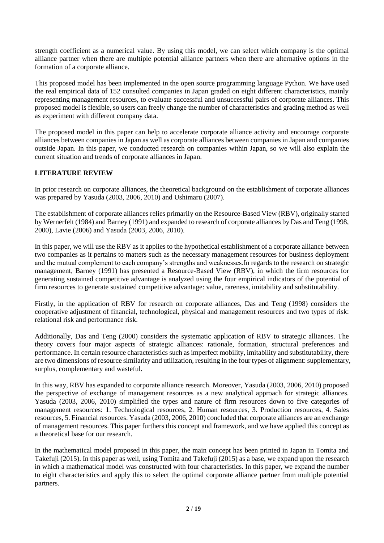strength coefficient as a numerical value. By using this model, we can select which company is the optimal alliance partner when there are multiple potential alliance partners when there are alternative options in the formation of a corporate alliance.

This proposed model has been implemented in the open source programming language Python. We have used the real empirical data of 152 consulted companies in Japan graded on eight different characteristics, mainly representing management resources, to evaluate successful and unsuccessful pairs of corporate alliances. This proposed model is flexible, so users can freely change the number of characteristics and grading method as well as experiment with different company data.

The proposed model in this paper can help to accelerate corporate alliance activity and encourage corporate alliances between companies in Japan as well as corporate alliances between companies in Japan and companies outside Japan. In this paper, we conducted research on companies within Japan, so we will also explain the current situation and trends of corporate alliances in Japan.

# **LITERATURE REVIEW**

In prior research on corporate alliances, the theoretical background on the establishment of corporate alliances was prepared by Yasuda (2003, 2006, 2010) and Ushimaru (2007).

The establishment of corporate alliances relies primarily on the Resource-Based View (RBV), originally started by Wernerfelt (1984) and Barney (1991) and expanded to research of corporate alliances by Das and Teng (1998, 2000), Lavie (2006) and Yasuda (2003, 2006, 2010).

In this paper, we will use the RBV as it applies to the hypothetical establishment of a corporate alliance between two companies as it pertains to matters such as the necessary management resources for business deployment and the mutual complement to each company's strengths and weaknesses.In regards to the research on strategic management, Barney (1991) has presented a Resource-Based View (RBV), in which the firm resources for generating sustained competitive advantage is analyzed using the four empirical indicators of the potential of firm resources to generate sustained competitive advantage: value, rareness, imitability and substitutability.

Firstly, in the application of RBV for research on corporate alliances, Das and Teng (1998) considers the cooperative adjustment of financial, technological, physical and management resources and two types of risk: relational risk and performance risk.

Additionally, Das and Teng (2000) considers the systematic application of RBV to strategic alliances. The theory covers four major aspects of strategic alliances: rationale, formation, structural preferences and performance. In certain resource characteristics such as imperfect mobility, imitability and substitutability, there are two dimensions of resource similarity and utilization, resulting in the four types of alignment: supplementary, surplus, complementary and wasteful.

In this way, RBV has expanded to corporate alliance research. Moreover, Yasuda (2003, 2006, 2010) proposed the perspective of exchange of management resources as a new analytical approach for strategic alliances. Yasuda (2003, 2006, 2010) simplified the types and nature of firm resources down to five categories of management resources: 1. Technological resources, 2. Human resources, 3. Production resources, 4. Sales resources, 5. Financial resources. Yasuda (2003, 2006, 2010) concluded that corporate alliances are an exchange of management resources. This paper furthers this concept and framework, and we have applied this concept as a theoretical base for our research.

In the mathematical model proposed in this paper, the main concept has been printed in Japan in Tomita and Takefuji (2015). In this paper as well, using Tomita and Takefuji (2015) as a base, we expand upon the research in which a mathematical model was constructed with four characteristics. In this paper, we expand the number to eight characteristics and apply this to select the optimal corporate alliance partner from multiple potential partners.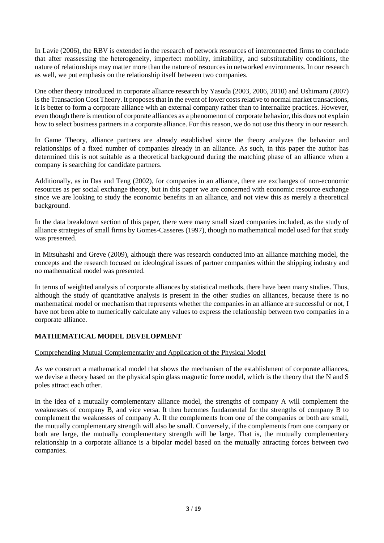In Lavie (2006), the RBV is extended in the research of network resources of interconnected firms to conclude that after reassessing the heterogeneity, imperfect mobility, imitability, and substitutability conditions, the nature of relationships may matter more than the nature of resources in networked environments. In our research as well, we put emphasis on the relationship itself between two companies.

One other theory introduced in corporate alliance research by Yasuda (2003, 2006, 2010) and Ushimaru (2007) is the Transaction Cost Theory. It proposes that in the event of lower costs relative to normal market transactions, it is better to form a corporate alliance with an external company rather than to internalize practices. However, even though there is mention of corporate alliances as a phenomenon of corporate behavior, this does not explain how to select business partners in a corporate alliance. For this reason, we do not use this theory in our research.

In Game Theory, alliance partners are already established since the theory analyzes the behavior and relationships of a fixed number of companies already in an alliance. As such, in this paper the author has determined this is not suitable as a theoretical background during the matching phase of an alliance when a company is searching for candidate partners.

Additionally, as in Das and Teng (2002), for companies in an alliance, there are exchanges of non-economic resources as per social exchange theory, but in this paper we are concerned with economic resource exchange since we are looking to study the economic benefits in an alliance, and not view this as merely a theoretical background.

In the data breakdown section of this paper, there were many small sized companies included, as the study of alliance strategies of small firms by Gomes-Casseres (1997), though no mathematical model used for that study was presented.

In Mitsuhashi and Greve (2009), although there was research conducted into an alliance matching model, the concepts and the research focused on ideological issues of partner companies within the shipping industry and no mathematical model was presented.

In terms of weighted analysis of corporate alliances by statistical methods, there have been many studies. Thus, although the study of quantitative analysis is present in the other studies on alliances, because there is no mathematical model or mechanism that represents whether the companies in an alliance are successful or not, I have not been able to numerically calculate any values to express the relationship between two companies in a corporate alliance.

# **MATHEMATICAL MODEL DEVELOPMENT**

# Comprehending Mutual Complementarity and Application of the Physical Model

As we construct a mathematical model that shows the mechanism of the establishment of corporate alliances, we devise a theory based on the physical spin glass magnetic force model, which is the theory that the N and S poles attract each other.

In the idea of a mutually complementary alliance model, the strengths of company A will complement the weaknesses of company B, and vice versa. It then becomes fundamental for the strengths of company B to complement the weaknesses of company A. If the complements from one of the companies or both are small, the mutually complementary strength will also be small. Conversely, if the complements from one company or both are large, the mutually complementary strength will be large. That is, the mutually complementary relationship in a corporate alliance is a bipolar model based on the mutually attracting forces between two companies.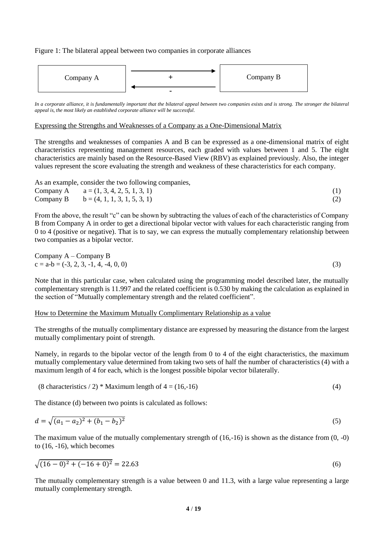Figure 1: The bilateral appeal between two companies in corporate alliances



In a corporate alliance, it is fundamentally important that the bilateral appeal between two companies exists and is strong. The stronger the bilateral *appeal is, the most likely an established corporate alliance will be successful.* 

#### Expressing the Strengths and Weaknesses of a Company as a One-Dimensional Matrix

The strengths and weaknesses of companies A and B can be expressed as a one-dimensional matrix of eight characteristics representing management resources, each graded with values between 1 and 5. The eight characteristics are mainly based on the Resource-Based View (RBV) as explained previously. Also, the integer values represent the score evaluating the strength and weakness of these characteristics for each company.

As an example, consider the two following companies,

| Company A $a = (1, 3, 4, 2, 5, 1, 3, 1)$ |  |
|------------------------------------------|--|
| Company B $b = (4, 1, 1, 3, 1, 5, 3, 1)$ |  |

From the above, the result "c" can be shown by subtracting the values of each of the characteristics of Company B from Company A in order to get a directional bipolar vector with values for each characteristic ranging from 0 to 4 (positive or negative). That is to say, we can express the mutually complementary relationship between two companies as a bipolar vector.

Comparing A – Company B

\n
$$
c = a - b = (-3, 2, 3, -1, 4, -4, 0, 0)
$$
\n(3)

Note that in this particular case, when calculated using the programming model described later, the mutually complementary strength is 11.997 and the related coefficient is 0.530 by making the calculation as explained in the section of "Mutually complementary strength and the related coefficient".

#### How to Determine the Maximum Mutually Complimentary Relationship as a value

The strengths of the mutually complimentary distance are expressed by measuring the distance from the largest mutually complimentary point of strength.

Namely, in regards to the bipolar vector of the length from 0 to 4 of the eight characteristics, the maximum mutually complementary value determined from taking two sets of half the number of characteristics (4) with a maximum length of 4 for each, which is the longest possible bipolar vector bilaterally.

$$
(8 characteristics / 2) * Maximum length of 4 = (16,-16)
$$
\n
$$
(4)
$$

The distance (d) between two points is calculated as follows:

$$
d = \sqrt{(a_1 - a_2)^2 + (b_1 - b_2)^2} \tag{5}
$$

The maximum value of the mutually complementary strength of (16,-16) is shown as the distance from (0, -0) to (16, -16), which becomes

$$
\sqrt{(16-0)^2 + (-16+0)^2} = 22.63\tag{6}
$$

The mutually complementary strength is a value between 0 and 11.3, with a large value representing a large mutually complementary strength.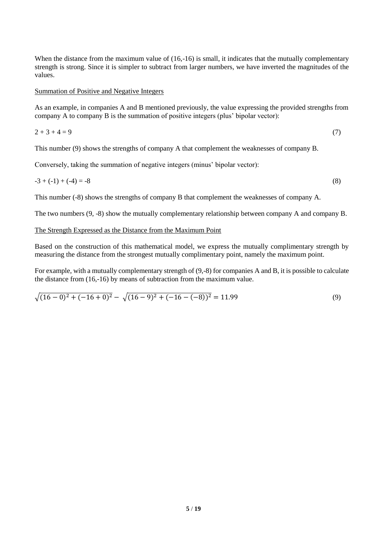When the distance from the maximum value of (16,-16) is small, it indicates that the mutually complementary strength is strong. Since it is simpler to subtract from larger numbers, we have inverted the magnitudes of the values.

#### Summation of Positive and Negative Integers

As an example, in companies A and B mentioned previously, the value expressing the provided strengths from company A to company B is the summation of positive integers (plus' bipolar vector):

$$
2 + 3 + 4 = 9 \tag{7}
$$

This number (9) shows the strengths of company A that complement the weaknesses of company B.

Conversely, taking the summation of negative integers (minus' bipolar vector):

$$
-3 + (-1) + (-4) = -8
$$
 (8)

This number (-8) shows the strengths of company B that complement the weaknesses of company A.

The two numbers (9, -8) show the mutually complementary relationship between company A and company B.

#### The Strength Expressed as the Distance from the Maximum Point

Based on the construction of this mathematical model, we express the mutually complimentary strength by measuring the distance from the strongest mutually complimentary point, namely the maximum point.

For example, with a mutually complementary strength of  $(9,-8)$  for companies A and B, it is possible to calculate the distance from (16,-16) by means of subtraction from the maximum value.

$$
\sqrt{(16-0)^2 + (-16+0)^2} - \sqrt{(16-9)^2 + (-16-(-8))^2} = 11.99\tag{9}
$$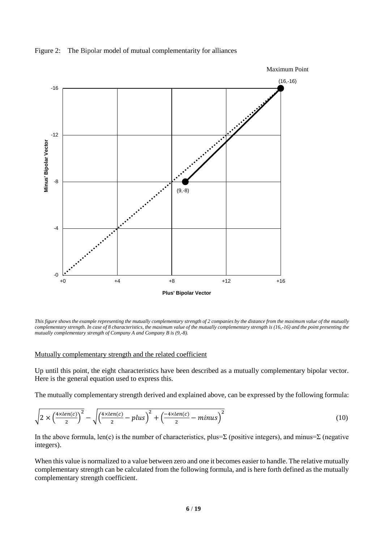



*This figure shows the example representing the mutually complementary strength of 2 companies by the distance from the maximum value of the mutually complementary strength. In case of 8 characteristics, the maximum value of the mutually complementary strength is (16,-16) and the point presenting the mutually complementary strength of Company A and Company B is (9,-8).*

#### Mutually complementary strength and the related coefficient

Up until this point, the eight characteristics have been described as a mutually complementary bipolar vector. Here is the general equation used to express this.

The mutually complementary strength derived and explained above, can be expressed by the following formula:

$$
\sqrt{2 \times \left(\frac{4 \times len(c)}{2}\right)^2} - \sqrt{\left(\frac{4 \times len(c)}{2} - plus\right)^2 + \left(\frac{-4 \times len(c)}{2} - minus\right)^2} \tag{10}
$$

In the above formula, len(c) is the number of characteristics, plus=Σ (positive integers), and minus=Σ (negative integers).

When this value is normalized to a value between zero and one it becomes easier to handle. The relative mutually complementary strength can be calculated from the following formula, and is here forth defined as the mutually complementary strength coefficient.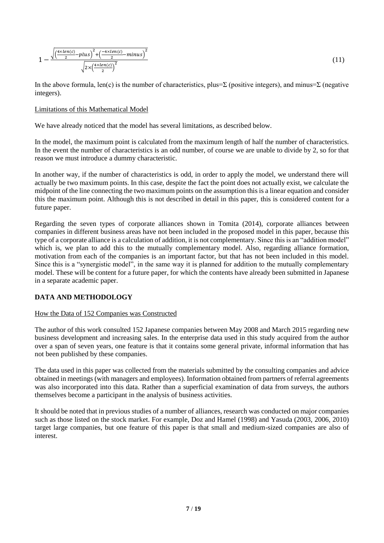$$
1 - \frac{\sqrt{\left(\frac{4 \times len(c)}{2} - plus\right)^2 + \left(\frac{-4 \times len(c)}{2} - minus\right)^2}}{\sqrt{2 \times \left(\frac{4 \times len(c)}{2}\right)^2}}
$$
(11)

In the above formula, len(c) is the number of characteristics, plus=Σ (positive integers), and minus=Σ (negative integers).

#### Limitations of this Mathematical Model

We have already noticed that the model has several limitations, as described below.

In the model, the maximum point is calculated from the maximum length of half the number of characteristics. In the event the number of characteristics is an odd number, of course we are unable to divide by 2, so for that reason we must introduce a dummy characteristic.

In another way, if the number of characteristics is odd, in order to apply the model, we understand there will actually be two maximum points. In this case, despite the fact the point does not actually exist, we calculate the midpoint of the line connecting the two maximum points on the assumption this is a linear equation and consider this the maximum point. Although this is not described in detail in this paper, this is considered content for a future paper.

Regarding the seven types of corporate alliances shown in Tomita (2014), corporate alliances between companies in different business areas have not been included in the proposed model in this paper, because this type of a corporate alliance is a calculation of addition, it is not complementary. Since this is an "addition model" which is, we plan to add this to the mutually complementary model. Also, regarding alliance formation, motivation from each of the companies is an important factor, but that has not been included in this model. Since this is a "synergistic model", in the same way it is planned for addition to the mutually complementary model. These will be content for a future paper, for which the contents have already been submitted in Japanese in a separate academic paper.

#### **DATA AND METHODOLOGY**

#### How the Data of 152 Companies was Constructed

The author of this work consulted 152 Japanese companies between May 2008 and March 2015 regarding new business development and increasing sales. In the enterprise data used in this study acquired from the author over a span of seven years, one feature is that it contains some general private, informal information that has not been published by these companies.

The data used in this paper was collected from the materials submitted by the consulting companies and advice obtained in meetings (with managers and employees). Information obtained from partners of referral agreements was also incorporated into this data. Rather than a superficial examination of data from surveys, the authors themselves become a participant in the analysis of business activities.

It should be noted that in previous studies of a number of alliances, research was conducted on major companies such as those listed on the stock market. For example, Doz and Hamel (1998) and Yasuda (2003, 2006, 2010) target large companies, but one feature of this paper is that small and medium-sized companies are also of interest.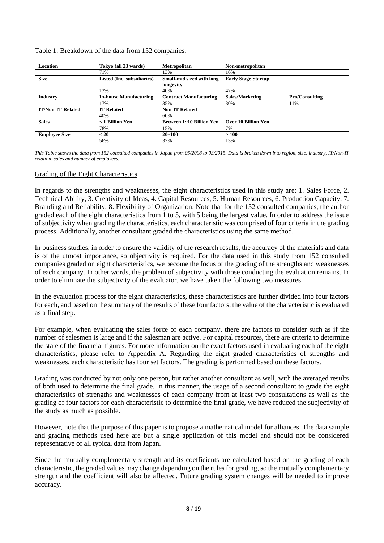Table 1: Breakdown of the data from 152 companies.

| <b>Location</b>          | Tokyo (all 23 wards)          | <b>Metropolitan</b>           | Non-metropolitan           |                       |
|--------------------------|-------------------------------|-------------------------------|----------------------------|-----------------------|
|                          | 71%                           | 13%                           | 16%                        |                       |
| Size                     | Listed (Inc. subsidiaries)    | Small-mid sized with long     | <b>Early Stage Startup</b> |                       |
|                          |                               | longevity                     |                            |                       |
|                          | 13%                           | 40%                           | 47%                        |                       |
| <b>Industry</b>          | <b>In-house Manufacturing</b> | <b>Contract Manufacturing</b> | Sales/Marketing            | <b>Pro/Consulting</b> |
|                          | 17%                           | 35%                           | 30%                        | 11%                   |
| <b>IT/Non-IT-Related</b> | <b>IT Related</b>             | <b>Non-IT Related</b>         |                            |                       |
|                          | 40%                           | 60%                           |                            |                       |
| <b>Sales</b>             | $<$ 1 Billion Yen             | Between 1~10 Billion Yen      | Over 10 Billion Yen        |                       |
|                          | 78%                           | 15%                           | 7%                         |                       |
| <b>Employee Size</b>     | < 20                          | $20 - 100$                    | >100                       |                       |
|                          | 56%                           | 32%                           | 13%                        |                       |

*This Table shows the data from 152 consulted companies in Japan from 05/2008 to 03/2015. Data is broken down into region, size, industry, IT/Non-IT relation, sales and number of employees.*

# Grading of the Eight Characteristics

In regards to the strengths and weaknesses, the eight characteristics used in this study are: 1. Sales Force, 2. Technical Ability, 3. Creativity of Ideas, 4. Capital Resources, 5. Human Resources, 6. Production Capacity, 7. Branding and Reliability, 8. Flexibility of Organization. Note that for the 152 consulted companies, the author graded each of the eight characteristics from 1 to 5, with 5 being the largest value. In order to address the issue of subjectivity when grading the characteristics, each characteristic was comprised of four criteria in the grading process. Additionally, another consultant graded the characteristics using the same method.

In business studies, in order to ensure the validity of the research results, the accuracy of the materials and data is of the utmost importance, so objectivity is required. For the data used in this study from 152 consulted companies graded on eight characteristics, we become the focus of the grading of the strengths and weaknesses of each company. In other words, the problem of subjectivity with those conducting the evaluation remains. In order to eliminate the subjectivity of the evaluator, we have taken the following two measures.

In the evaluation process for the eight characteristics, these characteristics are further divided into four factors for each, and based on the summary of the results of these four factors, the value of the characteristic is evaluated as a final step.

For example, when evaluating the sales force of each company, there are factors to consider such as if the number of salesmen is large and if the salesman are active. For capital resources, there are criteria to determine the state of the financial figures. For more information on the exact factors used in evaluating each of the eight characteristics, please refer to Appendix A. Regarding the eight graded characteristics of strengths and weaknesses, each characteristic has four set factors. The grading is performed based on these factors.

Grading was conducted by not only one person, but rather another consultant as well, with the averaged results of both used to determine the final grade. In this manner, the usage of a second consultant to grade the eight characteristics of strengths and weaknesses of each company from at least two consultations as well as the grading of four factors for each characteristic to determine the final grade, we have reduced the subjectivity of the study as much as possible.

However, note that the purpose of this paper is to propose a mathematical model for alliances. The data sample and grading methods used here are but a single application of this model and should not be considered representative of all typical data from Japan.

Since the mutually complementary strength and its coefficients are calculated based on the grading of each characteristic, the graded values may change depending on the rules for grading, so the mutually complementary strength and the coefficient will also be affected. Future grading system changes will be needed to improve accuracy.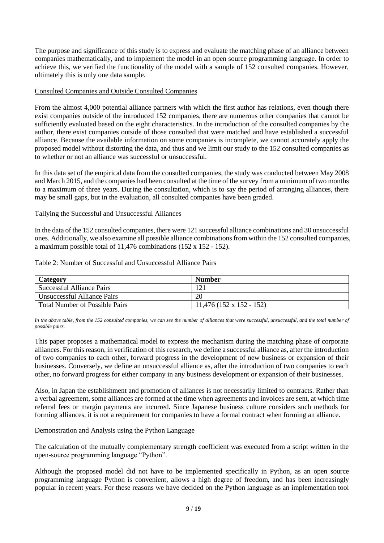The purpose and significance of this study is to express and evaluate the matching phase of an alliance between companies mathematically, and to implement the model in an open source programming language. In order to achieve this, we verified the functionality of the model with a sample of 152 consulted companies. However, ultimately this is only one data sample.

## Consulted Companies and Outside Consulted Companies

From the almost 4,000 potential alliance partners with which the first author has relations, even though there exist companies outside of the introduced 152 companies, there are numerous other companies that cannot be sufficiently evaluated based on the eight characteristics. In the introduction of the consulted companies by the author, there exist companies outside of those consulted that were matched and have established a successful alliance. Because the available information on some companies is incomplete, we cannot accurately apply the proposed model without distorting the data, and thus and we limit our study to the 152 consulted companies as to whether or not an alliance was successful or unsuccessful.

In this data set of the empirical data from the consulted companies, the study was conducted between May 2008 and March 2015, and the companies had been consulted at the time of the survey from a minimum of two months to a maximum of three years. During the consultation, which is to say the period of arranging alliances, there may be small gaps, but in the evaluation, all consulted companies have been graded.

## Tallying the Successful and Unsuccessful Alliances

In the data of the 152 consulted companies, there were 121 successful alliance combinations and 30 unsuccessful ones. Additionally, we also examine all possible alliance combinations from within the 152 consulted companies, a maximum possible total of 11,476 combinations (152 x 152 - 152).

#### Table 2: Number of Successful and Unsuccessful Alliance Pairs

| <b>Category</b>                       | <b>Number</b>              |
|---------------------------------------|----------------------------|
| <b>Successful Alliance Pairs</b>      |                            |
| Unsuccessful Alliance Pairs           | 20                         |
| <b>Total Number of Possible Pairs</b> | $11,476$ (152 x 152 - 152) |

In the above table, from the 152 consulted companies, we can see the number of alliances that were successful, unsuccessful, and the total number of *possible pairs.*

This paper proposes a mathematical model to express the mechanism during the matching phase of corporate alliances. For this reason, in verification of this research, we define a successful alliance as, after the introduction of two companies to each other, forward progress in the development of new business or expansion of their businesses. Conversely, we define an unsuccessful alliance as, after the introduction of two companies to each other, no forward progress for either company in any business development or expansion of their businesses.

Also, in Japan the establishment and promotion of alliances is not necessarily limited to contracts. Rather than a verbal agreement, some alliances are formed at the time when agreements and invoices are sent, at which time referral fees or margin payments are incurred. Since Japanese business culture considers such methods for forming alliances, it is not a requirement for companies to have a formal contract when forming an alliance.

#### Demonstration and Analysis using the Python Language

The calculation of the mutually complementary strength coefficient was executed from a script written in the open-source programming language "Python".

Although the proposed model did not have to be implemented specifically in Python, as an open source programming language Python is convenient, allows a high degree of freedom, and has been increasingly popular in recent years. For these reasons we have decided on the Python language as an implementation tool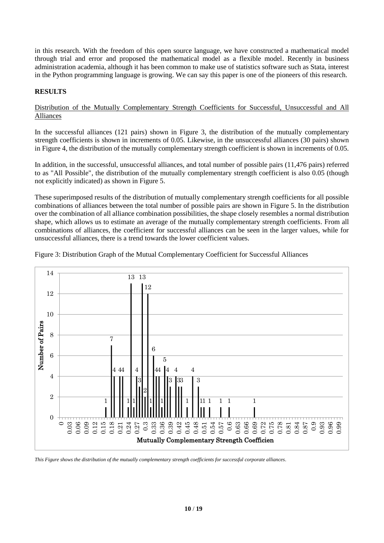in this research. With the freedom of this open source language, we have constructed a mathematical model through trial and error and proposed the mathematical model as a flexible model. Recently in business administration academia, although it has been common to make use of statistics software such as Stata, interest in the Python programming language is growing. We can say this paper is one of the pioneers of this research.

# **RESULTS**

## Distribution of the Mutually Complementary Strength Coefficients for Successful, Unsuccessful and All Alliances

In the successful alliances (121 pairs) shown in Figure 3, the distribution of the mutually complementary strength coefficients is shown in increments of 0.05. Likewise, in the unsuccessful alliances (30 pairs) shown in Figure 4, the distribution of the mutually complementary strength coefficient is shown in increments of 0.05.

In addition, in the successful, unsuccessful alliances, and total number of possible pairs (11,476 pairs) referred to as "All Possible", the distribution of the mutually complementary strength coefficient is also 0.05 (though not explicitly indicated) as shown in Figure 5.

These superimposed results of the distribution of mutually complementary strength coefficients for all possible combinations of alliances between the total number of possible pairs are shown in Figure 5. In the distribution over the combination of all alliance combination possibilities, the shape closely resembles a normal distribution shape, which allows us to estimate an average of the mutually complementary strength coefficients. From all combinations of alliances, the coefficient for successful alliances can be seen in the larger values, while for unsuccessful alliances, there is a trend towards the lower coefficient values.



Figure 3: Distribution Graph of the Mutual Complementary Coefficient for Successful Alliances

*This Figure shows the distribution of the mutually complementary strength coefficients for successful corporate alliances.*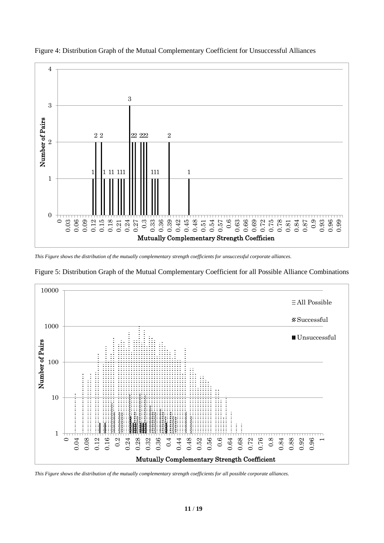



*This Figure shows the distribution of the mutually complementary strength coefficients for unsuccessful corporate alliances.*



Figure 5: Distribution Graph of the Mutual Complementary Coefficient for all Possible Alliance Combinations

*This Figure shows the distribution of the mutually complementary strength coefficients for all possible corporate alliances.*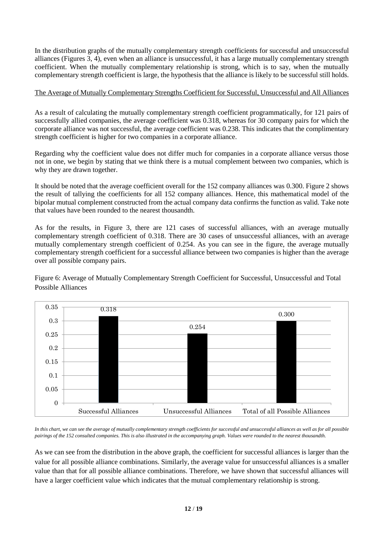In the distribution graphs of the mutually complementary strength coefficients for successful and unsuccessful alliances (Figures 3, 4), even when an alliance is unsuccessful, it has a large mutually complementary strength coefficient. When the mutually complementary relationship is strong, which is to say, when the mutually complementary strength coefficient is large, the hypothesis that the alliance is likely to be successful still holds.

# The Average of Mutually Complementary Strengths Coefficient for Successful, Unsuccessful and All Alliances

As a result of calculating the mutually complementary strength coefficient programmatically, for 121 pairs of successfully allied companies, the average coefficient was 0.318, whereas for 30 company pairs for which the corporate alliance was not successful, the average coefficient was 0.238. This indicates that the complimentary strength coefficient is higher for two companies in a corporate alliance.

Regarding why the coefficient value does not differ much for companies in a corporate alliance versus those not in one, we begin by stating that we think there is a mutual complement between two companies, which is why they are drawn together.

It should be noted that the average coefficient overall for the 152 company alliances was 0.300. Figure 2 shows the result of tallying the coefficients for all 152 company alliances. Hence, this mathematical model of the bipolar mutual complement constructed from the actual company data confirms the function as valid. Take note that values have been rounded to the nearest thousandth.

As for the results, in Figure 3, there are 121 cases of successful alliances, with an average mutually complementary strength coefficient of 0.318. There are 30 cases of unsuccessful alliances, with an average mutually complementary strength coefficient of 0.254. As you can see in the figure, the average mutually complementary strength coefficient for a successful alliance between two companies is higher than the average over all possible company pairs.

Figure 6: Average of Mutually Complementary Strength Coefficient for Successful, Unsuccessful and Total Possible Alliances



*In this chart, we can see the average of mutually complementary strength coefficients for successful and unsuccessful alliances as well as for all possible pairings of the 152 consulted companies. This is also illustrated in the accompanying graph. Values were rounded to the nearest thousandth.*

As we can see from the distribution in the above graph, the coefficient for successful alliances is larger than the value for all possible alliance combinations. Similarly, the average value for unsuccessful alliances is a smaller value than that for all possible alliance combinations. Therefore, we have shown that successful alliances will have a larger coefficient value which indicates that the mutual complementary relationship is strong.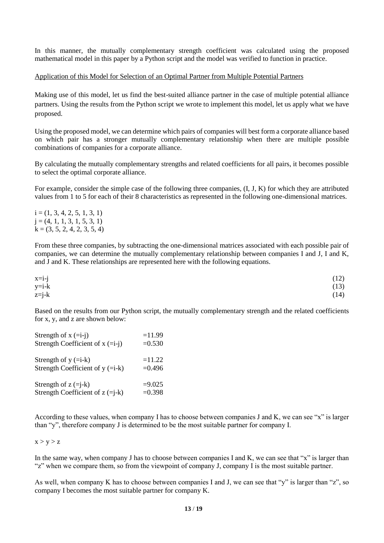In this manner, the mutually complementary strength coefficient was calculated using the proposed mathematical model in this paper by a Python script and the model was verified to function in practice.

#### Application of this Model for Selection of an Optimal Partner from Multiple Potential Partners

Making use of this model, let us find the best-suited alliance partner in the case of multiple potential alliance partners. Using the results from the Python script we wrote to implement this model, let us apply what we have proposed.

Using the proposed model, we can determine which pairs of companies will best form a corporate alliance based on which pair has a stronger mutually complementary relationship when there are multiple possible combinations of companies for a corporate alliance.

By calculating the mutually complementary strengths and related coefficients for all pairs, it becomes possible to select the optimal corporate alliance.

For example, consider the simple case of the following three companies, (I, J, K) for which they are attributed values from 1 to 5 for each of their 8 characteristics as represented in the following one-dimensional matrices.

 $i = (1, 3, 4, 2, 5, 1, 3, 1)$  $j = (4, 1, 1, 3, 1, 5, 3, 1)$  $k = (3, 5, 2, 4, 2, 3, 5, 4)$ 

From these three companies, by subtracting the one-dimensional matrices associated with each possible pair of companies, we can determine the mutually complementary relationship between companies I and J, I and K, and J and K. These relationships are represented here with the following equations.

| $x=i-j$ | (12) |
|---------|------|
| $y=i-k$ | (13) |
| $z=j-k$ | (14) |

Based on the results from our Python script, the mutually complementary strength and the related coefficients for x, y, and z are shown below:

| Strength of $x (=i-i)$             | $=11.99$  |
|------------------------------------|-----------|
| Strength Coefficient of $x (=i-i)$ | $=0.530$  |
| Strength of $y (=i-k)$             | $=11.22$  |
| Strength Coefficient of $y (=i-k)$ | $= 0.496$ |
| Strength of $z (=i-k)$             | $=9.025$  |
| Strength Coefficient of $z (=i-k)$ | $=0.398$  |

According to these values, when company I has to choose between companies J and K, we can see "x" is larger than "y", therefore company J is determined to be the most suitable partner for company I.

## $x > v > z$

In the same way, when company J has to choose between companies I and K, we can see that "x" is larger than "z" when we compare them, so from the viewpoint of company J, company I is the most suitable partner.

As well, when company K has to choose between companies I and J, we can see that "y" is larger than "z", so company I becomes the most suitable partner for company K.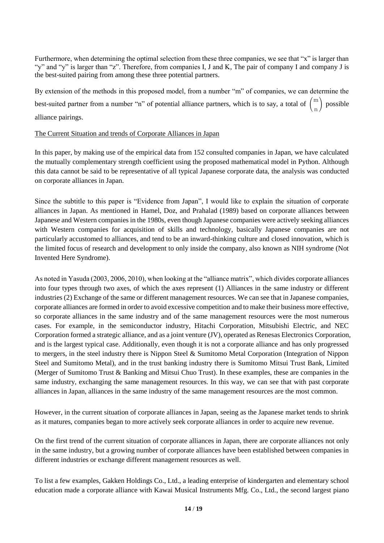Furthermore, when determining the optimal selection from these three companies, we see that "x" is larger than "y" and "y" is larger than "z". Therefore, from companies I, J and K, The pair of company I and company J is the best-suited pairing from among these three potential partners.

By extension of the methods in this proposed model, from a number "m" of companies, we can determine the best-suited partner from a number "n" of potential alliance partners, which is to say, a total of  $\binom{m}{k}$  $\binom{m}{n}$  possible alliance pairings.

#### The Current Situation and trends of Corporate Alliances in Japan

In this paper, by making use of the empirical data from 152 consulted companies in Japan, we have calculated the mutually complementary strength coefficient using the proposed mathematical model in Python. Although this data cannot be said to be representative of all typical Japanese corporate data, the analysis was conducted on corporate alliances in Japan.

Since the subtitle to this paper is "Evidence from Japan", I would like to explain the situation of corporate alliances in Japan. As mentioned in Hamel, Doz, and Prahalad (1989) based on corporate alliances between Japanese and Western companies in the 1980s, even though Japanese companies were actively seeking alliances with Western companies for acquisition of skills and technology, basically Japanese companies are not particularly accustomed to alliances, and tend to be an inward-thinking culture and closed innovation, which is the limited focus of research and development to only inside the company, also known as NIH syndrome (Not Invented Here Syndrome).

As noted in Yasuda (2003, 2006, 2010), when looking at the "alliance matrix", which divides corporate alliances into four types through two axes, of which the axes represent (1) Alliances in the same industry or different industries (2) Exchange of the same or different management resources. We can see that in Japanese companies, corporate alliances are formed in order to avoid excessive competition and to make their business more effective, so corporate alliances in the same industry and of the same management resources were the most numerous cases. For example, in the semiconductor industry, Hitachi Corporation, Mitsubishi Electric, and NEC Corporation formed a strategic alliance, and as a joint venture (JV), operated as Renesas Electronics Corporation, and is the largest typical case. Additionally, even though it is not a corporate alliance and has only progressed to mergers, in the steel industry there is Nippon Steel & Sumitomo Metal Corporation (Integration of Nippon Steel and Sumitomo Metal), and in the trust banking industry there is Sumitomo Mitsui Trust Bank, Limited (Merger of Sumitomo Trust & Banking and Mitsui Chuo Trust). In these examples, these are companies in the same industry, exchanging the same management resources. In this way, we can see that with past corporate alliances in Japan, alliances in the same industry of the same management resources are the most common.

However, in the current situation of corporate alliances in Japan, seeing as the Japanese market tends to shrink as it matures, companies began to more actively seek corporate alliances in order to acquire new revenue.

On the first trend of the current situation of corporate alliances in Japan, there are corporate alliances not only in the same industry, but a growing number of corporate alliances have been established between companies in different industries or exchange different management resources as well.

To list a few examples, Gakken Holdings Co., Ltd., a leading enterprise of kindergarten and elementary school education made a corporate alliance with Kawai Musical Instruments Mfg. Co., Ltd., the second largest piano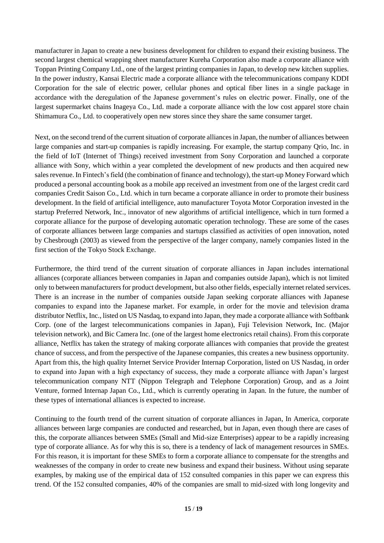manufacturer in Japan to create a new business development for children to expand their existing business. The second largest chemical wrapping sheet manufacturer Kureha Corporation also made a corporate alliance with Toppan Printing Company Ltd., one of the largest printing companies in Japan, to develop new kitchen supplies. In the power industry, Kansai Electric made a corporate alliance with the telecommunications company KDDI Corporation for the sale of electric power, cellular phones and optical fiber lines in a single package in accordance with the deregulation of the Japanese government's rules on electric power. Finally, one of the largest supermarket chains Inageya Co., Ltd. made a corporate alliance with the low cost apparel store chain Shimamura Co., Ltd. to cooperatively open new stores since they share the same consumer target.

Next, on the second trend of the current situation of corporate alliances in Japan, the number of alliances between large companies and start-up companies is rapidly increasing. For example, the startup company Qrio, Inc. in the field of IoT (Internet of Things) received investment from Sony Corporation and launched a corporate alliance with Sony, which within a year completed the development of new products and then acquired new sales revenue. In Fintech's field (the combination of finance and technology), the start-up Money Forward which produced a personal accounting book as a mobile app received an investment from one of the largest credit card companies Credit Saison Co., Ltd. which in turn became a corporate alliance in order to promote their business development. In the field of artificial intelligence, auto manufacturer Toyota Motor Corporation invested in the startup Preferred Network, Inc., innovator of new algorithms of artificial intelligence, which in turn formed a corporate alliance for the purpose of developing automatic operation technology. These are some of the cases of corporate alliances between large companies and startups classified as activities of open innovation, noted by Chesbrough (2003) as viewed from the perspective of the larger company, namely companies listed in the first section of the Tokyo Stock Exchange.

Furthermore, the third trend of the current situation of corporate alliances in Japan includes international alliances (corporate alliances between companies in Japan and companies outside Japan), which is not limited only to between manufacturers for product development, but also other fields, especially internet related services. There is an increase in the number of companies outside Japan seeking corporate alliances with Japanese companies to expand into the Japanese market. For example, in order for the movie and television drama distributor Netflix, Inc., listed on US Nasdaq, to expand into Japan, they made a corporate alliance with Softbank Corp. (one of the largest telecommunications companies in Japan), Fuji Television Network, Inc. (Major television network), and Bic Camera Inc. (one of the largest home electronics retail chains). From this corporate alliance, Netflix has taken the strategy of making corporate alliances with companies that provide the greatest chance of success, and from the perspective of the Japanese companies, this creates a new business opportunity. Apart from this, the high quality Internet Service Provider Internap Corporation, listed on US Nasdaq, in order to expand into Japan with a high expectancy of success, they made a corporate alliance with Japan's largest telecommunication company NTT (Nippon Telegraph and Telephone Corporation) Group, and as a Joint Venture, formed Internap Japan Co., Ltd., which is currently operating in Japan. In the future, the number of these types of international alliances is expected to increase.

Continuing to the fourth trend of the current situation of corporate alliances in Japan, In America, corporate alliances between large companies are conducted and researched, but in Japan, even though there are cases of this, the corporate alliances between SMEs (Small and Mid-size Enterprises) appear to be a rapidly increasing type of corporate alliance. As for why this is so, there is a tendency of lack of management resources in SMEs. For this reason, it is important for these SMEs to form a corporate alliance to compensate for the strengths and weaknesses of the company in order to create new business and expand their business. Without using separate examples, by making use of the empirical data of 152 consulted companies in this paper we can express this trend. Of the 152 consulted companies, 40% of the companies are small to mid-sized with long longevity and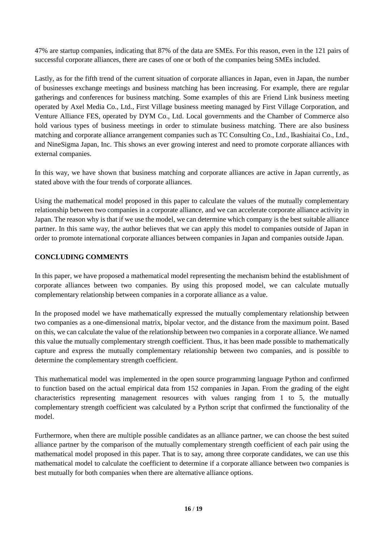47% are startup companies, indicating that 87% of the data are SMEs. For this reason, even in the 121 pairs of successful corporate alliances, there are cases of one or both of the companies being SMEs included.

Lastly, as for the fifth trend of the current situation of corporate alliances in Japan, even in Japan, the number of businesses exchange meetings and business matching has been increasing. For example, there are regular gatherings and conferences for business matching. Some examples of this are Friend Link business meeting operated by Axel Media Co., Ltd., First Village business meeting managed by First Village Corporation, and Venture Alliance FES, operated by DYM Co., Ltd. Local governments and the Chamber of Commerce also hold various types of business meetings in order to stimulate business matching. There are also business matching and corporate alliance arrangement companies such as TC Consulting Co., Ltd., Ikashiaitai Co., Ltd., and NineSigma Japan, Inc. This shows an ever growing interest and need to promote corporate alliances with external companies.

In this way, we have shown that business matching and corporate alliances are active in Japan currently, as stated above with the four trends of corporate alliances.

Using the mathematical model proposed in this paper to calculate the values of the mutually complementary relationship between two companies in a corporate alliance, and we can accelerate corporate alliance activity in Japan. The reason why is that if we use the model, we can determine which company is the best suitable alliance partner. In this same way, the author believes that we can apply this model to companies outside of Japan in order to promote international corporate alliances between companies in Japan and companies outside Japan.

# **CONCLUDING COMMENTS**

In this paper, we have proposed a mathematical model representing the mechanism behind the establishment of corporate alliances between two companies. By using this proposed model, we can calculate mutually complementary relationship between companies in a corporate alliance as a value.

In the proposed model we have mathematically expressed the mutually complementary relationship between two companies as a one-dimensional matrix, bipolar vector, and the distance from the maximum point. Based on this, we can calculate the value of the relationship between two companies in a corporate alliance. We named this value the mutually complementary strength coefficient. Thus, it has been made possible to mathematically capture and express the mutually complementary relationship between two companies, and is possible to determine the complementary strength coefficient.

This mathematical model was implemented in the open source programming language Python and confirmed to function based on the actual empirical data from 152 companies in Japan. From the grading of the eight characteristics representing management resources with values ranging from 1 to 5, the mutually complementary strength coefficient was calculated by a Python script that confirmed the functionality of the model.

Furthermore, when there are multiple possible candidates as an alliance partner, we can choose the best suited alliance partner by the comparison of the mutually complementary strength coefficient of each pair using the mathematical model proposed in this paper. That is to say, among three corporate candidates, we can use this mathematical model to calculate the coefficient to determine if a corporate alliance between two companies is best mutually for both companies when there are alternative alliance options.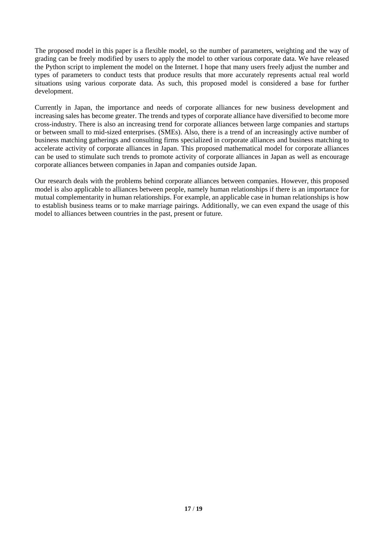The proposed model in this paper is a flexible model, so the number of parameters, weighting and the way of grading can be freely modified by users to apply the model to other various corporate data. We have released the Python script to implement the model on the Internet. I hope that many users freely adjust the number and types of parameters to conduct tests that produce results that more accurately represents actual real world situations using various corporate data. As such, this proposed model is considered a base for further development.

Currently in Japan, the importance and needs of corporate alliances for new business development and increasing sales has become greater. The trends and types of corporate alliance have diversified to become more cross-industry. There is also an increasing trend for corporate alliances between large companies and startups or between small to mid-sized enterprises. (SMEs). Also, there is a trend of an increasingly active number of business matching gatherings and consulting firms specialized in corporate alliances and business matching to accelerate activity of corporate alliances in Japan. This proposed mathematical model for corporate alliances can be used to stimulate such trends to promote activity of corporate alliances in Japan as well as encourage corporate alliances between companies in Japan and companies outside Japan.

Our research deals with the problems behind corporate alliances between companies. However, this proposed model is also applicable to alliances between people, namely human relationships if there is an importance for mutual complementarity in human relationships. For example, an applicable case in human relationships is how to establish business teams or to make marriage pairings. Additionally, we can even expand the usage of this model to alliances between countries in the past, present or future.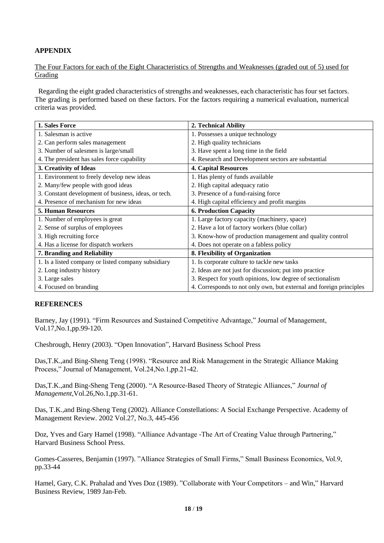# **APPENDIX**

The Four Factors for each of the Eight Characteristics of Strengths and Weaknesses (graded out of 5) used for Grading

Regarding the eight graded characteristics of strengths and weaknesses, each characteristic has four set factors. The grading is performed based on these factors. For the factors requiring a numerical evaluation, numerical criteria was provided.

| 1. Sales Force                                       | 2. Technical Ability                                                |  |
|------------------------------------------------------|---------------------------------------------------------------------|--|
| 1. Salesman is active                                | 1. Possesses a unique technology                                    |  |
| 2. Can perform sales management                      | 2. High quality technicians                                         |  |
| 3. Number of salesmen is large/small                 | 3. Have spent a long time in the field                              |  |
| 4. The president has sales force capability          | 4. Research and Development sectors are substantial                 |  |
| 3. Creativity of Ideas                               | <b>4. Capital Resources</b>                                         |  |
| 1. Environment to freely develop new ideas           | 1. Has plenty of funds available                                    |  |
| 2. Many/few people with good ideas                   | 2. High capital adequacy ratio                                      |  |
| 3. Constant development of business, ideas, or tech. | 3. Presence of a fund-raising force                                 |  |
| 4. Presence of mechanism for new ideas               | 4. High capital efficiency and profit margins                       |  |
| <b>5. Human Resources</b>                            | <b>6. Production Capacity</b>                                       |  |
| 1. Number of employees is great                      | 1. Large factory capacity (machinery, space)                        |  |
| 2. Sense of surplus of employees                     | 2. Have a lot of factory workers (blue collar)                      |  |
| 3. High recruiting force                             | 3. Know-how of production management and quality control            |  |
| 4. Has a license for dispatch workers                | 4. Does not operate on a fabless policy                             |  |
| 7. Branding and Reliability                          | 8. Flexibility of Organization                                      |  |
| 1. Is a listed company or listed company subsidiary  | 1. Is corporate culture to tackle new tasks                         |  |
| 2. Long industry history                             | 2. Ideas are not just for discussion; put into practice             |  |
| 3. Large sales                                       | 3. Respect for youth opinions, low degree of sectionalism           |  |
| 4. Focused on branding                               | 4. Corresponds to not only own, but external and foreign principles |  |

#### **REFERENCES**

Barney, Jay (1991). "Firm Resources and Sustained Competitive Advantage," Journal of Management, Vol.17,No.1,pp.99-120.

Chesbrough, Henry (2003). "Open Innovation", Harvard Business School Press

Das,T.K.,and Bing-Sheng Teng (1998). "Resource and Risk Management in the Strategic Alliance Making Process," Journal of Management, Vol.24,No.1,pp.21-42.

Das,T.K.,and Bing-Sheng Teng (2000). "A Resource-Based Theory of Strategic Alliances," *Journal of Management*,Vol.26,No.1,pp.31-61.

Das, T.K.,and Bing-Sheng Teng (2002). Alliance Constellations: A Social Exchange Perspective. Academy of Management Review. 2002 Vol.27, No.3, 445-456

Doz, Yves and Gary Hamel (1998). "Alliance Advantage -The Art of Creating Value through Partnering," Harvard Business School Press.

Gomes-Casseres, Benjamin (1997). "Alliance Strategies of Small Firms," Small Business Economics, Vol.9, pp.33-44

Hamel, Gary, C.K. Prahalad and Yves Doz (1989). "Collaborate with Your Competitors – and Win," Harvard Business Review, 1989 Jan-Feb.